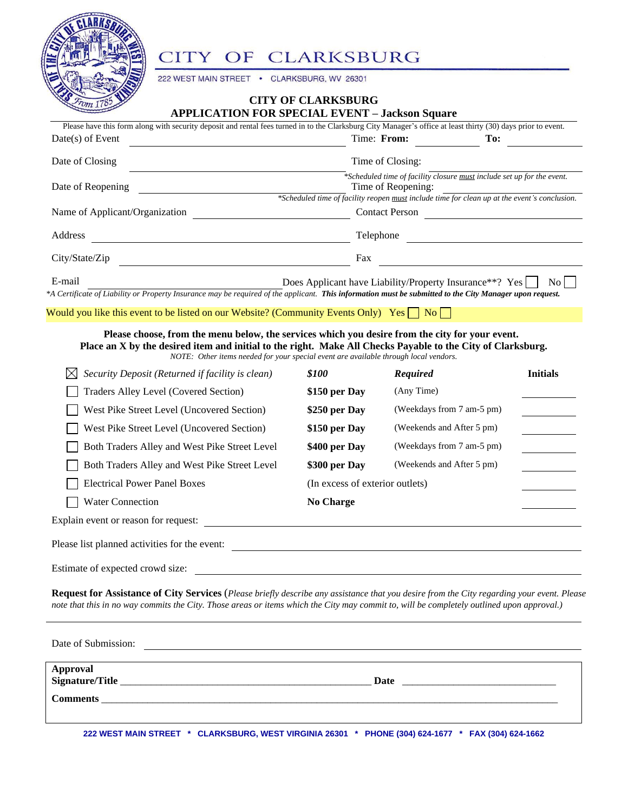

#### CLARKSBURG CITY OF

222 WEST MAIN STREET CLARKSBURG, WV 26301  $\bullet$ 

# **CITY OF CLARKSBURG**

| <b>APPLICATION FOR SPECIAL EVENT - Jackson Square</b> |
|-------------------------------------------------------|
|-------------------------------------------------------|

| Please have this form along with security deposit and rental fees turned in to the Clarksburg City Manager's office at least thirty (30) days prior to event. |                                                                                                                                                                                              |      |  |
|---------------------------------------------------------------------------------------------------------------------------------------------------------------|----------------------------------------------------------------------------------------------------------------------------------------------------------------------------------------------|------|--|
| $Date(s)$ of Event                                                                                                                                            | Time: From:                                                                                                                                                                                  | To:  |  |
| Date of Closing                                                                                                                                               | Time of Closing:                                                                                                                                                                             |      |  |
| Date of Reopening                                                                                                                                             | *Scheduled time of facility closure must include set up for the event.<br>Time of Reopening:<br>*Scheduled time of facility reopen must include time for clean up at the event's conclusion. |      |  |
| Name of Applicant/Organization                                                                                                                                | <b>Contact Person</b>                                                                                                                                                                        |      |  |
| Address                                                                                                                                                       | Telephone                                                                                                                                                                                    |      |  |
| City/State/Zip                                                                                                                                                | Fax                                                                                                                                                                                          |      |  |
| E-mail                                                                                                                                                        | Does Applicant have Liability/Property Insurance**? Yes                                                                                                                                      | No l |  |

*\*A Certificate of Liability or Property Insurance may be required of the applicant. This information must be submitted to the City Manager upon request.*

Would you like this event to be listed on our Website? (Community Events Only) Yes  $\Box$  No  $\Box$ 

## **Please choose, from the menu below, the services which you desire from the city for your event. Place an X by the desired item and initial to the right. Make All Checks Payable to the City of Clarksburg.**

*NOTE: Other items needed for your special event are available through local vendors.*

| Security Deposit (Returned if facility is clean)<br>⋈ | \$100                           | <b>Required</b>           | <b>Initials</b> |
|-------------------------------------------------------|---------------------------------|---------------------------|-----------------|
| Traders Alley Level (Covered Section)                 | \$150 per Day                   | (Any Time)                |                 |
| West Pike Street Level (Uncovered Section)            | \$250 per Day                   | (Weekdays from 7 am-5 pm) |                 |
| West Pike Street Level (Uncovered Section)            | \$150 per Day                   | (Weekends and After 5 pm) |                 |
| Both Traders Alley and West Pike Street Level         | \$400 per Day                   | (Weekdays from 7 am-5 pm) |                 |
| Both Traders Alley and West Pike Street Level         | \$300 per Day                   | (Weekends and After 5 pm) |                 |
| <b>Electrical Power Panel Boxes</b>                   | (In excess of exterior outlets) |                           |                 |
| <b>Water Connection</b>                               | <b>No Charge</b>                |                           |                 |
| Explain event or reason for request:                  |                                 |                           |                 |
| Please list planned activities for the event:         |                                 |                           |                 |

Estimate of expected crowd size:

**Request for Assistance of City Services** (*Please briefly describe any assistance that you desire from the City regarding your event. Please note that this in no way commits the City. Those areas or items which the City may commit to, will be completely outlined upon approval.)*

| Date of Submission:         |      |
|-----------------------------|------|
|                             |      |
| Approval<br>Signature/Title | Date |
| <b>Comments</b>             |      |
|                             |      |

**222 WEST MAIN STREET \* CLARKSBURG, WEST VIRGINIA 26301 \* PHONE (304) 624-1677 \* FAX (304) 624-1662**